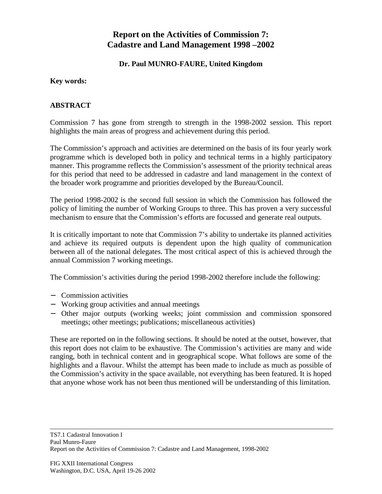# **Report on the Activities of Commission 7: Cadastre and Land Management 1998 –2002**

## **Dr. Paul MUNRO-FAURE, United Kingdom**

#### **Key words:**

## **ABSTRACT**

Commission 7 has gone from strength to strength in the 1998-2002 session. This report highlights the main areas of progress and achievement during this period.

The Commission's approach and activities are determined on the basis of its four yearly work programme which is developed both in policy and technical terms in a highly participatory manner. This programme reflects the Commission's assessment of the priority technical areas for this period that need to be addressed in cadastre and land management in the context of the broader work programme and priorities developed by the Bureau/Council.

The period 1998-2002 is the second full session in which the Commission has followed the policy of limiting the number of Working Groups to three. This has proven a very successful mechanism to ensure that the Commission's efforts are focussed and generate real outputs.

It is critically important to note that Commission 7's ability to undertake its planned activities and achieve its required outputs is dependent upon the high quality of communication between all of the national delegates. The most critical aspect of this is achieved through the annual Commission 7 working meetings.

The Commission's activities during the period 1998-2002 therefore include the following:

- − Commission activities
- − Working group activities and annual meetings
- − Other major outputs (working weeks; joint commission and commission sponsored meetings; other meetings; publications; miscellaneous activities)

These are reported on in the following sections. It should be noted at the outset, however, that this report does not claim to be exhaustive. The Commission's activities are many and wide ranging, both in technical content and in geographical scope. What follows are some of the highlights and a flavour. Whilst the attempt has been made to include as much as possible of the Commission's activity in the space available, not everything has been featured. It is hoped that anyone whose work has not been thus mentioned will be understanding of this limitation.